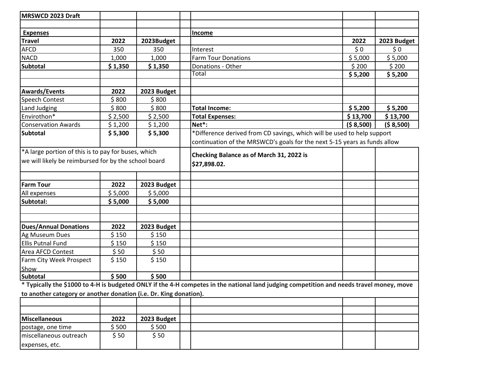| MRSWCD 2023 Draft                                                 |                    |             |                                                                                                                                          |             |             |
|-------------------------------------------------------------------|--------------------|-------------|------------------------------------------------------------------------------------------------------------------------------------------|-------------|-------------|
|                                                                   |                    |             |                                                                                                                                          |             |             |
| <b>Expenses</b>                                                   |                    |             | Income                                                                                                                                   |             |             |
| <b>Travel</b>                                                     | 2022               | 2023Budget  |                                                                                                                                          | 2022        | 2023 Budget |
| <b>AFCD</b>                                                       | 350                | 350         | Interest                                                                                                                                 | \$0         | \$0         |
| <b>NACD</b>                                                       | 1,000              | 1,000       | <b>Farm Tour Donations</b>                                                                                                               | \$5,000     | \$5,000     |
| <b>Subtotal</b>                                                   | \$1,350            | \$1,350     | Donations - Other                                                                                                                        | \$200       | \$200       |
|                                                                   |                    |             | Total                                                                                                                                    | \$5,200     | \$5,200     |
|                                                                   |                    |             |                                                                                                                                          |             |             |
| <b>Awards/Events</b>                                              | 2022               | 2023 Budget |                                                                                                                                          |             |             |
| <b>Speech Contest</b>                                             | \$800              | \$800       |                                                                                                                                          |             |             |
| Land Judging                                                      | \$800              | \$800       | <b>Total Income:</b>                                                                                                                     | \$5,200     | \$5,200     |
| Envirothon*                                                       | \$2,500            | \$2,500     | <b>Total Expenses:</b>                                                                                                                   | \$13,700    | \$13,700    |
| <b>Conservation Awards</b>                                        | \$1,200            | \$1,200     | Net*:                                                                                                                                    | ( \$ 8,500) | ( \$ 8,500) |
| Subtotal                                                          | \$5,300<br>\$5,300 |             | *Difference derived from CD savings, which will be used to help support                                                                  |             |             |
|                                                                   |                    |             | continuation of the MRSWCD's goals for the next 5-15 years as funds allow                                                                |             |             |
| <sup>*</sup> A large portion of this is to pay for buses, which   |                    |             | Checking Balance as of March 31, 2022 is                                                                                                 |             |             |
| we will likely be reimbursed for by the school board              |                    |             | \$27,898.02.                                                                                                                             |             |             |
|                                                                   |                    |             |                                                                                                                                          |             |             |
|                                                                   |                    |             |                                                                                                                                          |             |             |
| <b>Farm Tour</b>                                                  | 2022               | 2023 Budget |                                                                                                                                          |             |             |
| All expenses                                                      | \$5,000            | \$5,000     |                                                                                                                                          |             |             |
| Subtotal:                                                         | \$5,000            | \$5,000     |                                                                                                                                          |             |             |
|                                                                   |                    |             |                                                                                                                                          |             |             |
|                                                                   |                    |             |                                                                                                                                          |             |             |
| <b>Dues/Annual Donations</b>                                      | 2022               | 2023 Budget |                                                                                                                                          |             |             |
| Ag Museum Dues                                                    | \$150              | \$150       |                                                                                                                                          |             |             |
| Ellis Putnal Fund                                                 | \$150              | \$150       |                                                                                                                                          |             |             |
| Area AFCD Contest                                                 | \$50               | \$50        |                                                                                                                                          |             |             |
| Farm City Week Prospect                                           | \$150              | \$150       |                                                                                                                                          |             |             |
| Show                                                              |                    |             |                                                                                                                                          |             |             |
| Subtotal                                                          | \$500              | \$500       |                                                                                                                                          |             |             |
|                                                                   |                    |             | * Typically the \$1000 to 4-H is budgeted ONLY if the 4-H competes in the national land judging competition and needs travel money, move |             |             |
| to another category or another donation (i.e. Dr. King donation). |                    |             |                                                                                                                                          |             |             |
|                                                                   |                    |             |                                                                                                                                          |             |             |
|                                                                   |                    |             |                                                                                                                                          |             |             |
| Miscellaneous                                                     | 2022               | 2023 Budget |                                                                                                                                          |             |             |
| postage, one time                                                 | \$500              | \$500       |                                                                                                                                          |             |             |
| miscellaneous outreach                                            | \$50               | \$50        |                                                                                                                                          |             |             |
| expenses, etc.                                                    |                    |             |                                                                                                                                          |             |             |